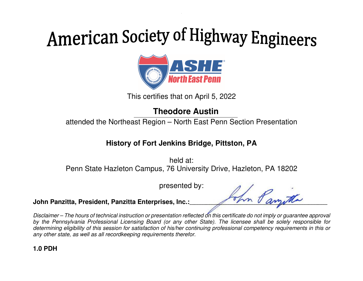

This certifies that on April 5, 2022

## **Theodore Austin**

attended the Northeast Region – North East Penn Section Presentation

### **History of Fort Jenkins Bridge, Pittston, PA**

held at: Penn State Hazleton Campus, 76 University Drive, Hazleton, PA 18202

presented by:

John Panzitta, President, Panzitta Enterprises, Inc.:

Disclaimer – The hours of technical instruction or presentation reflected on this certificate do not imply or guarantee approval by the Pennsylvania Professional Licensing Board (or any other State). The licensee shall be solely responsible for determining eligibility of this session for satisfaction of his/her continuing professional competency requirements in this or any other state, as well as all recordkeeping requirements therefor.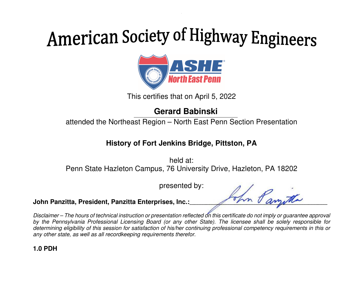

This certifies that on April 5, 2022

## **Gerard Babinski**

attended the Northeast Region – North East Penn Section Presentation

### **History of Fort Jenkins Bridge, Pittston, PA**

held at: Penn State Hazleton Campus, 76 University Drive, Hazleton, PA 18202

presented by:

John Panzitta, President, Panzitta Enterprises, Inc.:

Disclaimer – The hours of technical instruction or presentation reflected on this certificate do not imply or guarantee approval by the Pennsylvania Professional Licensing Board (or any other State). The licensee shall be solely responsible for determining eligibility of this session for satisfaction of his/her continuing professional competency requirements in this or any other state, as well as all recordkeeping requirements therefor.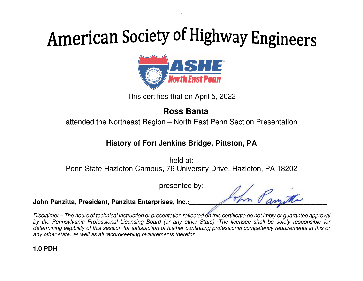

This certifies that on April 5, 2022

### **Ross Banta**

attended the Northeast Region – North East Penn Section Presentation

#### **History of Fort Jenkins Bridge, Pittston, PA**

held at: Penn State Hazleton Campus, 76 University Drive, Hazleton, PA 18202

presented by:

John Panzitta, President, Panzitta Enterprises, Inc.:

Disclaimer – The hours of technical instruction or presentation reflected on this certificate do not imply or guarantee approval by the Pennsylvania Professional Licensing Board (or any other State). The licensee shall be solely responsible for determining eligibility of this session for satisfaction of his/her continuing professional competency requirements in this or any other state, as well as all recordkeeping requirements therefor.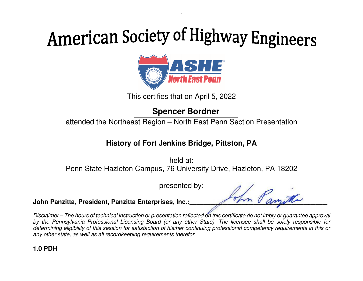

This certifies that on April 5, 2022

## **Spencer Bordner**

attended the Northeast Region – North East Penn Section Presentation

#### **History of Fort Jenkins Bridge, Pittston, PA**

held at: Penn State Hazleton Campus, 76 University Drive, Hazleton, PA 18202

presented by:

John Panzitta, President, Panzitta Enterprises, Inc.:

Disclaimer – The hours of technical instruction or presentation reflected on this certificate do not imply or guarantee approval by the Pennsylvania Professional Licensing Board (or any other State). The licensee shall be solely responsible for determining eligibility of this session for satisfaction of his/her continuing professional competency requirements in this or any other state, as well as all recordkeeping requirements therefor.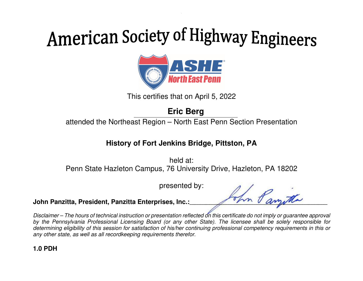

This certifies that on April 5, 2022

## **Eric Berg**

attended the Northeast Region – North East Penn Section Presentation

#### **History of Fort Jenkins Bridge, Pittston, PA**

held at: Penn State Hazleton Campus, 76 University Drive, Hazleton, PA 18202

presented by:

John Panzitta, President, Panzitta Enterprises, Inc.:

Disclaimer – The hours of technical instruction or presentation reflected on this certificate do not imply or guarantee approval by the Pennsylvania Professional Licensing Board (or any other State). The licensee shall be solely responsible for determining eligibility of this session for satisfaction of his/her continuing professional competency requirements in this or any other state, as well as all recordkeeping requirements therefor.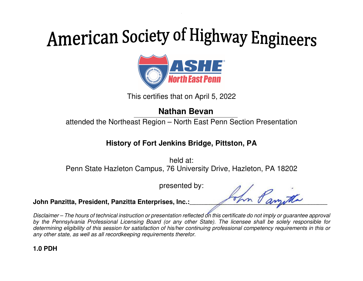

This certifies that on April 5, 2022

### **Nathan Bevan**

attended the Northeast Region – North East Penn Section Presentation

### **History of Fort Jenkins Bridge, Pittston, PA**

held at: Penn State Hazleton Campus, 76 University Drive, Hazleton, PA 18202

presented by:

John Panzitta, President, Panzitta Enterprises, Inc.:

Disclaimer – The hours of technical instruction or presentation reflected on this certificate do not imply or guarantee approval by the Pennsylvania Professional Licensing Board (or any other State). The licensee shall be solely responsible for determining eligibility of this session for satisfaction of his/her continuing professional competency requirements in this or any other state, as well as all recordkeeping requirements therefor.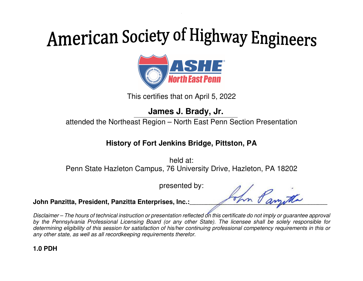

This certifies that on April 5, 2022

**James J. Brady, Jr.** 

attended the Northeast Region – North East Penn Section Presentation

### **History of Fort Jenkins Bridge, Pittston, PA**

held at: Penn State Hazleton Campus, 76 University Drive, Hazleton, PA 18202

presented by:

John Panzitta, President, Panzitta Enterprises, Inc.:

Disclaimer – The hours of technical instruction or presentation reflected on this certificate do not imply or guarantee approval by the Pennsylvania Professional Licensing Board (or any other State). The licensee shall be solely responsible for determining eligibility of this session for satisfaction of his/her continuing professional competency requirements in this or any other state, as well as all recordkeeping requirements therefor.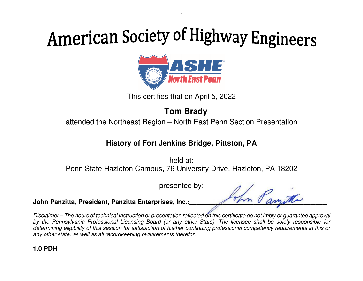

This certifies that on April 5, 2022

## **Tom Brady**

attended the Northeast Region – North East Penn Section Presentation

### **History of Fort Jenkins Bridge, Pittston, PA**

held at: Penn State Hazleton Campus, 76 University Drive, Hazleton, PA 18202

presented by:

John Panzitta, President, Panzitta Enterprises, Inc.:

Disclaimer – The hours of technical instruction or presentation reflected on this certificate do not imply or guarantee approval by the Pennsylvania Professional Licensing Board (or any other State). The licensee shall be solely responsible for determining eligibility of this session for satisfaction of his/her continuing professional competency requirements in this or any other state, as well as all recordkeeping requirements therefor.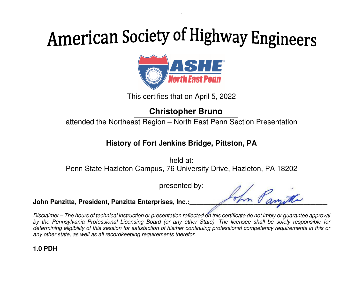

This certifies that on April 5, 2022

## **Christopher Bruno**

attended the Northeast Region – North East Penn Section Presentation

### **History of Fort Jenkins Bridge, Pittston, PA**

held at: Penn State Hazleton Campus, 76 University Drive, Hazleton, PA 18202

presented by:

John Panzitta, President, Panzitta Enterprises, Inc.:

Disclaimer – The hours of technical instruction or presentation reflected on this certificate do not imply or guarantee approval by the Pennsylvania Professional Licensing Board (or any other State). The licensee shall be solely responsible for determining eligibility of this session for satisfaction of his/her continuing professional competency requirements in this or any other state, as well as all recordkeeping requirements therefor.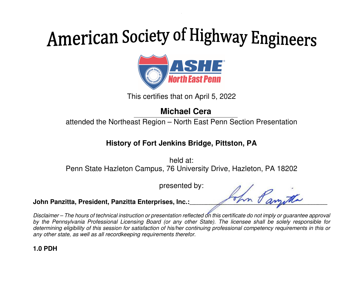

This certifies that on April 5, 2022

### **Michael Cera**

attended the Northeast Region – North East Penn Section Presentation

### **History of Fort Jenkins Bridge, Pittston, PA**

held at: Penn State Hazleton Campus, 76 University Drive, Hazleton, PA 18202

presented by:

John Panzitta, President, Panzitta Enterprises, Inc.:

Disclaimer – The hours of technical instruction or presentation reflected on this certificate do not imply or guarantee approval by the Pennsylvania Professional Licensing Board (or any other State). The licensee shall be solely responsible for determining eligibility of this session for satisfaction of his/her continuing professional competency requirements in this or any other state, as well as all recordkeeping requirements therefor.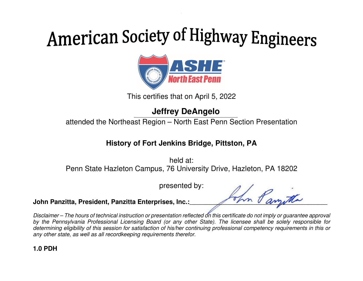

This certifies that on April 5, 2022

## **Jeffrey DeAngelo**

attended the Northeast Region – North East Penn Section Presentation

### **History of Fort Jenkins Bridge, Pittston, PA**

held at: Penn State Hazleton Campus, 76 University Drive, Hazleton, PA 18202

presented by:

John Panzitta, President, Panzitta Enterprises, Inc.:

Disclaimer – The hours of technical instruction or presentation reflected on this certificate do not imply or guarantee approval by the Pennsylvania Professional Licensing Board (or any other State). The licensee shall be solely responsible for determining eligibility of this session for satisfaction of his/her continuing professional competency requirements in this or any other state, as well as all recordkeeping requirements therefor.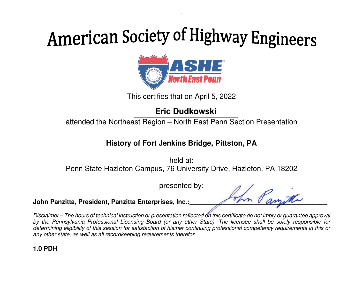

This certifies that on April 5, 2022

## **Eric Dudkowski**

attended the Northeast Region – North East Penn Section Presentation

#### **History of Fort Jenkins Bridge, Pittston, PA**

held at: Penn State Hazleton Campus, 76 University Drive, Hazleton, PA 18202

presented by:

John Panzitta, President, Panzitta Enterprises, Inc.:

Disclaimer – The hours of technical instruction or presentation reflected on this certificate do not imply or guarantee approval by the Pennsylvania Professional Licensing Board (or any other State). The licensee shall be solely responsible for determining eligibility of this session for satisfaction of his/her continuing professional competency requirements in this or any other state, as well as all recordkeeping requirements therefor.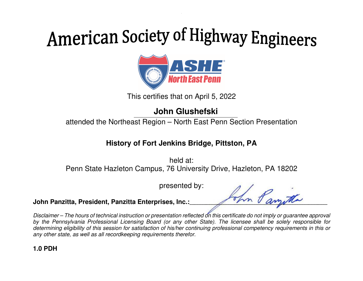

This certifies that on April 5, 2022

## **John Glushefski**

attended the Northeast Region – North East Penn Section Presentation

#### **History of Fort Jenkins Bridge, Pittston, PA**

held at: Penn State Hazleton Campus, 76 University Drive, Hazleton, PA 18202

presented by:

John Panzitta, President, Panzitta Enterprises, Inc.:

Disclaimer – The hours of technical instruction or presentation reflected on this certificate do not imply or guarantee approval by the Pennsylvania Professional Licensing Board (or any other State). The licensee shall be solely responsible for determining eligibility of this session for satisfaction of his/her continuing professional competency requirements in this or any other state, as well as all recordkeeping requirements therefor.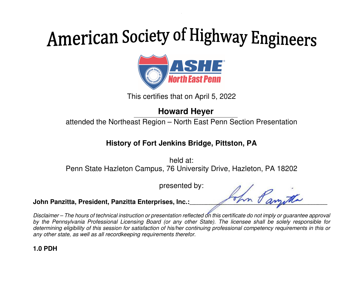

This certifies that on April 5, 2022

### **Howard Heyer**

attended the Northeast Region – North East Penn Section Presentation

### **History of Fort Jenkins Bridge, Pittston, PA**

held at: Penn State Hazleton Campus, 76 University Drive, Hazleton, PA 18202

presented by:

John Panzitta, President, Panzitta Enterprises, Inc.:

Disclaimer – The hours of technical instruction or presentation reflected on this certificate do not imply or guarantee approval by the Pennsylvania Professional Licensing Board (or any other State). The licensee shall be solely responsible for determining eligibility of this session for satisfaction of his/her continuing professional competency requirements in this or any other state, as well as all recordkeeping requirements therefor.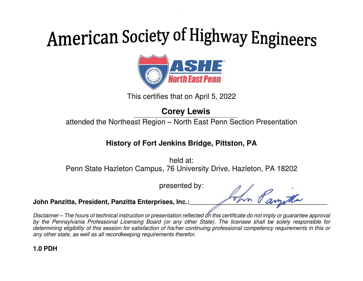

This certifies that on April 5, 2022

## **Corey Lewis**

attended the Northeast Region – North East Penn Section Presentation

### **History of Fort Jenkins Bridge, Pittston, PA**

held at: Penn State Hazleton Campus, 76 University Drive, Hazleton, PA 18202

presented by:

John Panzitta, President, Panzitta Enterprises, Inc.:

Disclaimer – The hours of technical instruction or presentation reflected on this certificate do not imply or guarantee approval by the Pennsylvania Professional Licensing Board (or any other State). The licensee shall be solely responsible for determining eligibility of this session for satisfaction of his/her continuing professional competency requirements in this or any other state, as well as all recordkeeping requirements therefor.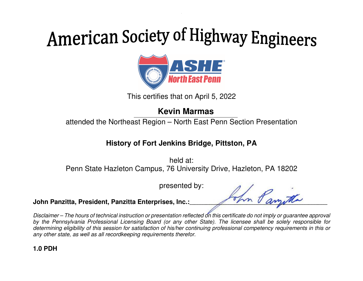

This certifies that on April 5, 2022

### **Kevin Marmas**

attended the Northeast Region – North East Penn Section Presentation

### **History of Fort Jenkins Bridge, Pittston, PA**

held at: Penn State Hazleton Campus, 76 University Drive, Hazleton, PA 18202

presented by:

John Panzitta, President, Panzitta Enterprises, Inc.:

Disclaimer – The hours of technical instruction or presentation reflected on this certificate do not imply or guarantee approval by the Pennsylvania Professional Licensing Board (or any other State). The licensee shall be solely responsible for determining eligibility of this session for satisfaction of his/her continuing professional competency requirements in this or any other state, as well as all recordkeeping requirements therefor.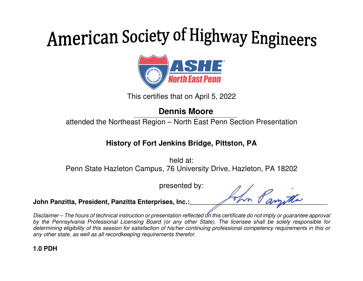

This certifies that on April 5, 2022

## **Dennis Moore**

attended the Northeast Region – North East Penn Section Presentation

#### **History of Fort Jenkins Bridge, Pittston, PA**

held at: Penn State Hazleton Campus, 76 University Drive, Hazleton, PA 18202

presented by:

John Panzitta, President, Panzitta Enterprises, Inc.:

Disclaimer – The hours of technical instruction or presentation reflected on this certificate do not imply or guarantee approval by the Pennsylvania Professional Licensing Board (or any other State). The licensee shall be solely responsible for determining eligibility of this session for satisfaction of his/her continuing professional competency requirements in this or any other state, as well as all recordkeeping requirements therefor.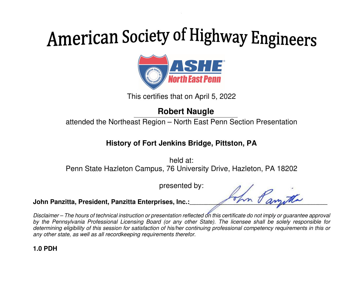

This certifies that on April 5, 2022

## **Robert Naugle**

attended the Northeast Region – North East Penn Section Presentation

### **History of Fort Jenkins Bridge, Pittston, PA**

held at: Penn State Hazleton Campus, 76 University Drive, Hazleton, PA 18202

presented by:

John Panzitta, President, Panzitta Enterprises, Inc.:

Disclaimer – The hours of technical instruction or presentation reflected on this certificate do not imply or guarantee approval by the Pennsylvania Professional Licensing Board (or any other State). The licensee shall be solely responsible for determining eligibility of this session for satisfaction of his/her continuing professional competency requirements in this or any other state, as well as all recordkeeping requirements therefor.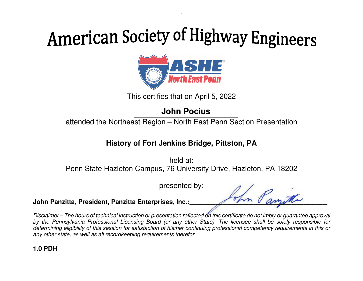

This certifies that on April 5, 2022

## **John Pocius**

attended the Northeast Region – North East Penn Section Presentation

#### **History of Fort Jenkins Bridge, Pittston, PA**

held at: Penn State Hazleton Campus, 76 University Drive, Hazleton, PA 18202

presented by:

John Panzitta, President, Panzitta Enterprises, Inc.:

Disclaimer – The hours of technical instruction or presentation reflected on this certificate do not imply or guarantee approval by the Pennsylvania Professional Licensing Board (or any other State). The licensee shall be solely responsible for determining eligibility of this session for satisfaction of his/her continuing professional competency requirements in this or any other state, as well as all recordkeeping requirements therefor.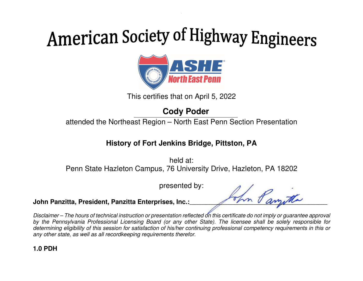

This certifies that on April 5, 2022

## **Cody Poder**

attended the Northeast Region – North East Penn Section Presentation

### **History of Fort Jenkins Bridge, Pittston, PA**

held at: Penn State Hazleton Campus, 76 University Drive, Hazleton, PA 18202

presented by:

John Panzitta, President, Panzitta Enterprises, Inc.:

Disclaimer – The hours of technical instruction or presentation reflected on this certificate do not imply or guarantee approval by the Pennsylvania Professional Licensing Board (or any other State). The licensee shall be solely responsible for determining eligibility of this session for satisfaction of his/her continuing professional competency requirements in this or any other state, as well as all recordkeeping requirements therefor.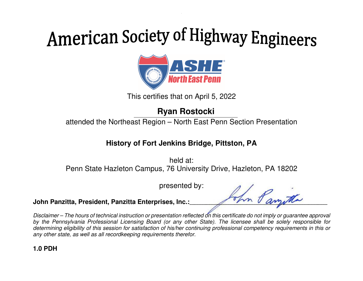

This certifies that on April 5, 2022

## **Ryan Rostocki**

attended the Northeast Region – North East Penn Section Presentation

### **History of Fort Jenkins Bridge, Pittston, PA**

held at: Penn State Hazleton Campus, 76 University Drive, Hazleton, PA 18202

presented by:

John Panzitta, President, Panzitta Enterprises, Inc.:

Disclaimer – The hours of technical instruction or presentation reflected on this certificate do not imply or guarantee approval by the Pennsylvania Professional Licensing Board (or any other State). The licensee shall be solely responsible for determining eligibility of this session for satisfaction of his/her continuing professional competency requirements in this or any other state, as well as all recordkeeping requirements therefor.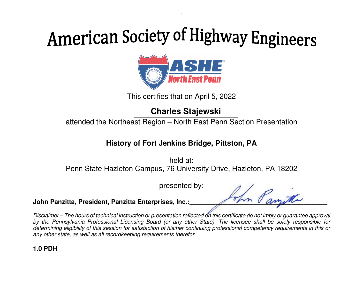

This certifies that on April 5, 2022

### **Charles Stajewski**

attended the Northeast Region – North East Penn Section Presentation

### **History of Fort Jenkins Bridge, Pittston, PA**

held at: Penn State Hazleton Campus, 76 University Drive, Hazleton, PA 18202

presented by:

John Panzitta, President, Panzitta Enterprises, Inc.:

Disclaimer – The hours of technical instruction or presentation reflected on this certificate do not imply or guarantee approval by the Pennsylvania Professional Licensing Board (or any other State). The licensee shall be solely responsible for determining eligibility of this session for satisfaction of his/her continuing professional competency requirements in this or any other state, as well as all recordkeeping requirements therefor.